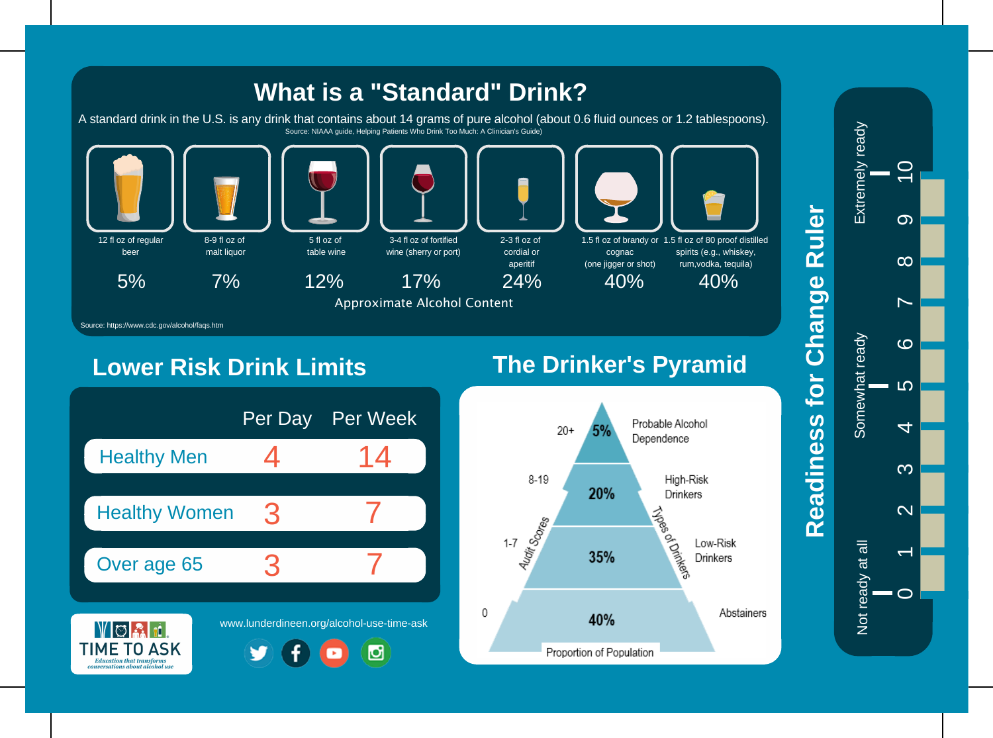

## **Lower Risk Drink Limits**

# **The Drinker's Pyramid**





# Ruler **Readiness for Change Ruler** Readiness for Change